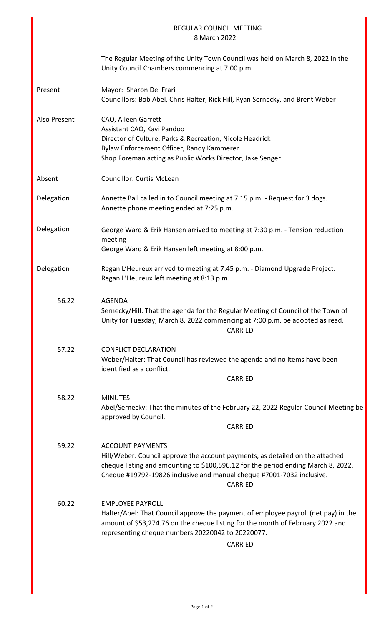|              | <b>REGULAR COUNCIL MEETING</b><br>8 March 2022                                                                                                                                                                                                                                    |
|--------------|-----------------------------------------------------------------------------------------------------------------------------------------------------------------------------------------------------------------------------------------------------------------------------------|
|              | The Regular Meeting of the Unity Town Council was held on March 8, 2022 in the<br>Unity Council Chambers commencing at 7:00 p.m.                                                                                                                                                  |
| Present      | Mayor: Sharon Del Frari<br>Councillors: Bob Abel, Chris Halter, Rick Hill, Ryan Sernecky, and Brent Weber                                                                                                                                                                         |
| Also Present | CAO, Aileen Garrett<br>Assistant CAO, Kavi Pandoo<br>Director of Culture, Parks & Recreation, Nicole Headrick<br>Bylaw Enforcement Officer, Randy Kammerer<br>Shop Foreman acting as Public Works Director, Jake Senger                                                           |
| Absent       | <b>Councillor: Curtis McLean</b>                                                                                                                                                                                                                                                  |
| Delegation   | Annette Ball called in to Council meeting at 7:15 p.m. - Request for 3 dogs.<br>Annette phone meeting ended at 7:25 p.m.                                                                                                                                                          |
| Delegation   | George Ward & Erik Hansen arrived to meeting at 7:30 p.m. - Tension reduction<br>meeting<br>George Ward & Erik Hansen left meeting at 8:00 p.m.                                                                                                                                   |
| Delegation   | Regan L'Heureux arrived to meeting at 7:45 p.m. - Diamond Upgrade Project.<br>Regan L'Heureux left meeting at 8:13 p.m.                                                                                                                                                           |
| 56.22        | <b>AGENDA</b><br>Sernecky/Hill: That the agenda for the Regular Meeting of Council of the Town of<br>Unity for Tuesday, March 8, 2022 commencing at 7:00 p.m. be adopted as read.<br>CARRIED                                                                                      |
| 57.22        | <b>CONFLICT DECLARATION</b><br>Weber/Halter: That Council has reviewed the agenda and no items have been<br>identified as a conflict.<br>CARRIED                                                                                                                                  |
| 58.22        | <b>MINUTES</b><br>Abel/Sernecky: That the minutes of the February 22, 2022 Regular Council Meeting be<br>approved by Council.<br>CARRIED                                                                                                                                          |
| 59.22        | <b>ACCOUNT PAYMENTS</b><br>Hill/Weber: Council approve the account payments, as detailed on the attached<br>cheque listing and amounting to \$100,596.12 for the period ending March 8, 2022.<br>Cheque #19792-19826 inclusive and manual cheque #7001-7032 inclusive.<br>CARRIED |
| 60.22        | <b>EMPLOYEE PAYROLL</b><br>Halter/Abel: That Council approve the payment of employee payroll (net pay) in the<br>amount of \$53,274.76 on the cheque listing for the month of February 2022 and<br>representing cheque numbers 20220042 to 20220077.<br><b>CARRIED</b>            |